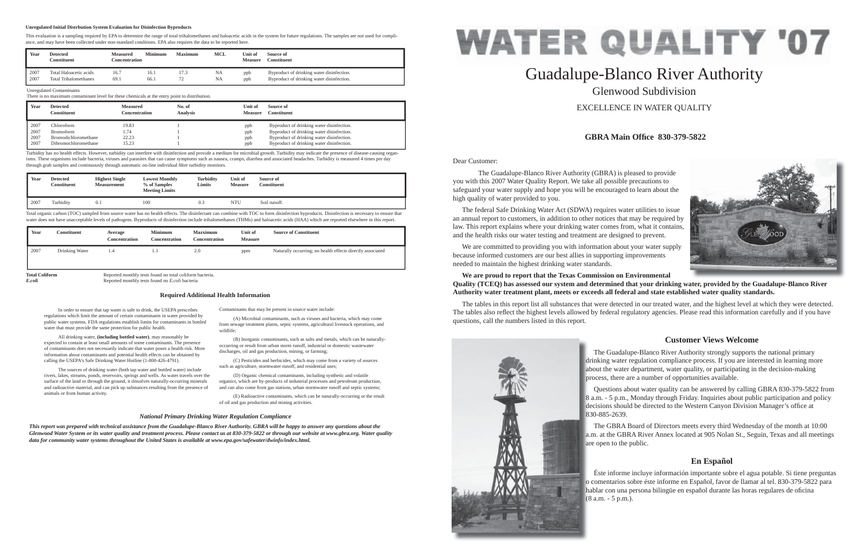Dear Customer:

 The Guadalupe-Blanco River Authority (GBRA) is pleased to provide you with this 2007 Water Quality Report. We take all possible precautions to safeguard your water supply and hope you will be encouraged to learn about the high quality of water provided to you.

 The federal Safe Drinking Water Act (SDWA) requires water utilities to issue an annual report to customers, in addition to other notices that may be required by law. This report explains where your drinking water comes from, what it contains, and the health risks our water testing and treatment are designed to prevent.

 We are committed to providing you with information about your water supply because informed customers are our best allies in supporting improvements needed to maintain the highest drinking water standards.

## **We are proud to report that the Texas Commission on Environmental**  Quality (TCEQ) has assessed our system and determined that your drinking water, provided by the Guadalupe-Blanco River **Authority water treatment plant, meets or exceeds all federal and state established water quality standards.**

The tables in this report list all substances that were detected in our treated water, and the highest level at which they were detected. The tables also reflect the highest levels allowed by federal regulatory agencies. Please read this information carefully and if you have questions, call the numbers listed in this report.



# Guadalupe-Blanco River Authority Glenwood SubdivisionEXCELLENCE IN WATER QUALITY

## **GBRA Main Offi ce 830-379-5822**

## **Customer Views Welcome**

## **En Español**

In order to ensure that tap water is safe to drink, the USEPA prescribes regulations which limit the amount of certain contaminants in water provided by public water systems. FDA regulations establish limits for contaminants in bottled

water that must provide the same protection for public health.

 All drinking water, **(including bottled water)**, may reasonably be expected to contain at least small amounts of some contaminants. The presence of contaminants does not necessarily indicate that water poses a health risk. More information about contaminants and potential health effects can be obtained by calling the USEPA's Safe Drinking Water Hotline (1-800-426-4791).

Total organic carbon (TOC) sampled from source water has no health effects. The disinfectant can combine with TOC to form disinfection byproducts. Disinfection is necessary to ensure that water does not have unacceptable levels of pathogens. Byproducts of disinfection include trihalomethanes (THMs) and haloacetic acids (HAA) which are reported elsewhere in this report.

> The Guadalupe-Blanco River Authority strongly supports the national primary drinking water regulation compliance process. If you are interested in learning more dri about the water department, water quality, or participating in the decision-making ab process, there are a number of opportunities available. pro

 The sources of drinking water (both tap water and bottled water) include rivers, lakes, streams, ponds, reservoirs, springs and wells. As water travels over the surface of the land or through the ground, it dissolves naturally-occurring minerals and radioactive material, and can pick up substances resulting from the presence of

 Questions about water quality can be answered by calling GBRA 830-379-5822 from 8 a.m. - 5 p.m., Monday through Friday. Inquiries about public participation and policy a decisions should be directed to the Western Canyon Division Manager's office at 830-885-2639. 83

animals or from human activity.

 The GBRA Board of Directors meets every third Wednesday of the month at 10:00 a.m. at the GBRA River Annex located at 905 Nolan St., Seguin, Texas and all meetings a.m are open to the public. are

Contaminants that may be present in source water include:

 Éste informe incluye información importante sobre el agua potable. Si tiene preguntas o comentarios sobre éste informe en Español, favor de llamar al tel. 830-379-5822 para o c hablar con una persona bilingüe en español durante las horas regulares de oficina (8 a.m. - 5 p.m.).



 (A) Microbial contaminants, such as viruses and bacteria, which may come from sewage treatment plants, septic systems, agricultural livestock operations, and wildlife;

 (B) Inorganic contaminants, such as salts and metals, which can be naturallyoccurring or result from urban storm runoff, industrial or domestic wastewater discharges, oil and gas production, mining, or farming;

 (C) Pesticides and herbicides, which may come from a variety of sources such as agriculture, stormwater runoff, and residential uses;

 (D) Organic chemical contaminants, including synthetic and volatile organics, which are by-products of industrial processes and petroleum production, and can also come from gas stations, urban stormwater runoff and septic systems;

 (E) Radioactive contaminants, which can be naturally-occurring or the result of oil and gas production and mining activities.

### **Required Additional Health Information**

## *National Primary Drinking Water Regulation Compliance*

*This report was prepared with technical assistance from the Guadalupe-Blanco River Authority. GBRA will be happy to answer any questions about the Glenwood Water System or its water quality and treatment process. Please contact us at 830-379-5822 or through our website at www.gbra.org. Water quality data for community water systems throughout the United States is available at www.epa.gov/safewater/dwinfo/index.html.*

### Unregulated Contaminants

There is no maximum contaminant level for these chemicals at the entry point to distribution.

| Year | <b>Detected</b><br>Constituent | Measured<br>Concentration | No. of<br><b>Analysis</b> | Unit of<br><b>Measure</b> | Source of<br><b>Constituent</b>           |
|------|--------------------------------|---------------------------|---------------------------|---------------------------|-------------------------------------------|
| 2007 | Chloroform                     | 19.83                     |                           | ppb                       | Byproduct of drinking water disinfection. |
| 2007 | <b>Bromoform</b>               | 1.74                      |                           | ppb                       | Byproduct of drinking water disinfection. |
| 2007 | <b>Bromodichloromethane</b>    | 22.23                     |                           | ppb                       | Byproduct of drinking water disinfection. |
| 2007 | Dibromochloromethane           | 15.23                     |                           | ppb                       | Byproduct of drinking water disinfection. |

Turbidity has no health effects. However, turbidity can interfere with disinfection and provide a medium for microbial growth. Turbidity may indicate the presence of disease-causing organisms. These organisms include bacteria, viruses and parasites that can cause symptoms such as nausea, cramps, diarrhea and associated headaches. Turbidity is measured 4 times per day through grab samples and continuously through automatic on-line individual filter turbidity monitors.

| Year | <b>Detected</b><br>Constituent | <b>Highest Single</b><br><b>Measurement</b> | <b>Lowest Monthly</b><br>% of Samples<br><b>Meeting Limits</b> | <b>Turbidity</b><br>Limits | Unit of<br><b>Measure</b> | Source of<br><b>Constituent</b> |
|------|--------------------------------|---------------------------------------------|----------------------------------------------------------------|----------------------------|---------------------------|---------------------------------|
| 2007 | Turbidity                      | 0.1                                         | 100                                                            | 0.3                        | <b>NTU</b>                | Soil runoff.                    |

| Year | Constituent                                                                       | Average<br>Concentration | <b>Minimum</b><br><b>Concentration</b> | <b>Mazximum</b><br>Concentration | Unit of<br><b>Measure</b> | <b>Source of Constituent</b>                               |
|------|-----------------------------------------------------------------------------------|--------------------------|----------------------------------------|----------------------------------|---------------------------|------------------------------------------------------------|
| 2007 | Drinking Water                                                                    | 1.4                      | I.I                                    | 2.0                              | ppm                       | Naturally occurring; no health effects directly associated |
|      | <b>Total Coliform</b><br>Reported monthly tests found no total coliform bacteria. |                          |                                        |                                  |                           |                                                            |

*E.coli* Reported monthly tests found no *E.coli* bacteria

| Year | Detected<br>Constituent      | <b>Measured</b><br>Concentration | Minimum | <b>Maximum</b>           | <b>MCL</b> | ™Init of<br><b>Measure</b> | Source of<br><b>Constituent</b>           |
|------|------------------------------|----------------------------------|---------|--------------------------|------------|----------------------------|-------------------------------------------|
| 2007 | Total Haloacetic acids       | 16.7                             | 16.1    | $\overline{\phantom{a}}$ | <b>NA</b>  | ppb                        | Byproduct of drinking water disinfection. |
| 2007 | <b>Total Trihalomethanes</b> | 69.1                             | 66.1    | ΙZ                       | NA         | ppb                        | Byproduct of drinking water disinfection. |

### **Unregulated Initial Distrbution System Evaluation for Disinfection Byproducts**

This evaluation is a sampling required by EPA to determine the range of total trihalomethanes and haloacetic acids in the system for future regulations. The samples are not used for compliance, and may have been collected under non-standard conditions. EPA also requires the data to be reported here.